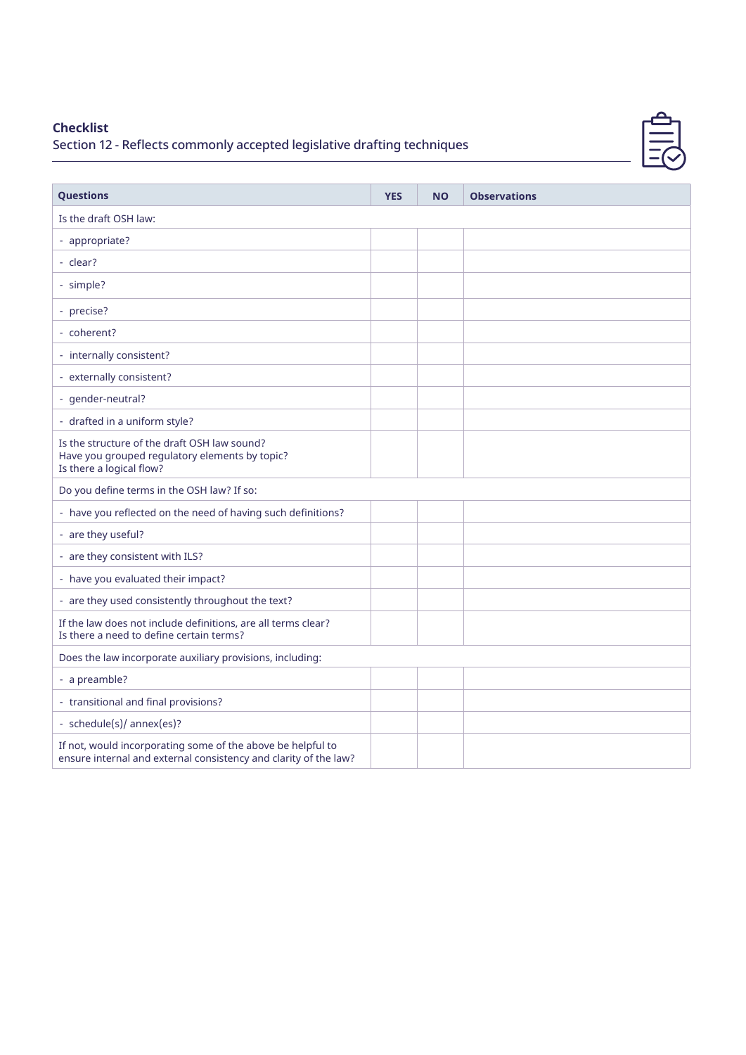## **Checklist**

## Section 12 - Reflects commonly accepted legislative drafting techniques

| <b>Questions</b>                                                                                                                | <b>YES</b> | <b>NO</b> | <b>Observations</b> |  |  |
|---------------------------------------------------------------------------------------------------------------------------------|------------|-----------|---------------------|--|--|
| Is the draft OSH law:                                                                                                           |            |           |                     |  |  |
| - appropriate?                                                                                                                  |            |           |                     |  |  |
| - clear?                                                                                                                        |            |           |                     |  |  |
| - simple?                                                                                                                       |            |           |                     |  |  |
| - precise?                                                                                                                      |            |           |                     |  |  |
| - coherent?                                                                                                                     |            |           |                     |  |  |
| - internally consistent?                                                                                                        |            |           |                     |  |  |
| - externally consistent?                                                                                                        |            |           |                     |  |  |
| - gender-neutral?                                                                                                               |            |           |                     |  |  |
| - drafted in a uniform style?                                                                                                   |            |           |                     |  |  |
| Is the structure of the draft OSH law sound?<br>Have you grouped regulatory elements by topic?<br>Is there a logical flow?      |            |           |                     |  |  |
| Do you define terms in the OSH law? If so:                                                                                      |            |           |                     |  |  |
| - have you reflected on the need of having such definitions?                                                                    |            |           |                     |  |  |
| - are they useful?                                                                                                              |            |           |                     |  |  |
| - are they consistent with ILS?                                                                                                 |            |           |                     |  |  |
| - have you evaluated their impact?                                                                                              |            |           |                     |  |  |
| - are they used consistently throughout the text?                                                                               |            |           |                     |  |  |
| If the law does not include definitions, are all terms clear?<br>Is there a need to define certain terms?                       |            |           |                     |  |  |
| Does the law incorporate auxiliary provisions, including:                                                                       |            |           |                     |  |  |
| - a preamble?                                                                                                                   |            |           |                     |  |  |
| - transitional and final provisions?                                                                                            |            |           |                     |  |  |
| - schedule(s)/ annex(es)?                                                                                                       |            |           |                     |  |  |
| If not, would incorporating some of the above be helpful to<br>ensure internal and external consistency and clarity of the law? |            |           |                     |  |  |